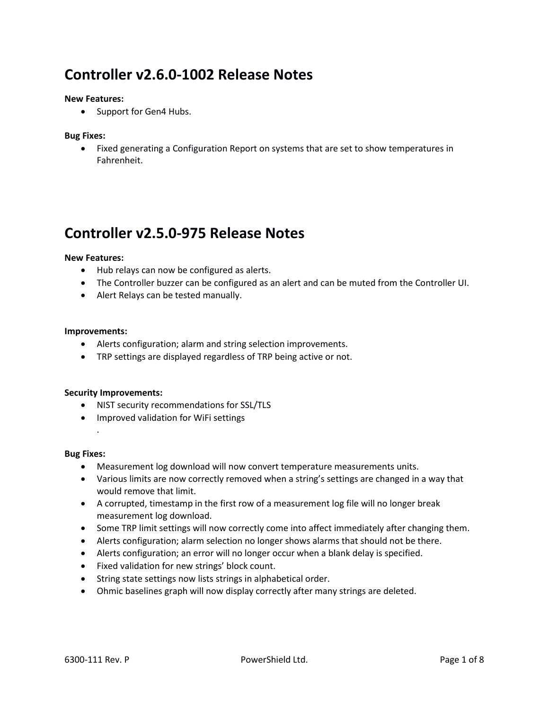# **Controller v2.6.0-1002 Release Notes**

### **New Features:**

• Support for Gen4 Hubs.

### **Bug Fixes:**

 Fixed generating a Configuration Report on systems that are set to show temperatures in Fahrenheit.

# **Controller v2.5.0-975 Release Notes**

#### **New Features:**

- Hub relays can now be configured as alerts.
- The Controller buzzer can be configured as an alert and can be muted from the Controller UI.
- Alert Relays can be tested manually.

#### **Improvements:**

- Alerts configuration; alarm and string selection improvements.
- TRP settings are displayed regardless of TRP being active or not.

### **Security Improvements:**

- NIST security recommendations for SSL/TLS
- Improved validation for WiFi settings

#### **Bug Fixes:**

.

- Measurement log download will now convert temperature measurements units.
- Various limits are now correctly removed when a string's settings are changed in a way that would remove that limit.
- A corrupted, timestamp in the first row of a measurement log file will no longer break measurement log download.
- Some TRP limit settings will now correctly come into affect immediately after changing them.
- Alerts configuration; alarm selection no longer shows alarms that should not be there.
- Alerts configuration; an error will no longer occur when a blank delay is specified.
- Fixed validation for new strings' block count.
- String state settings now lists strings in alphabetical order.
- Ohmic baselines graph will now display correctly after many strings are deleted.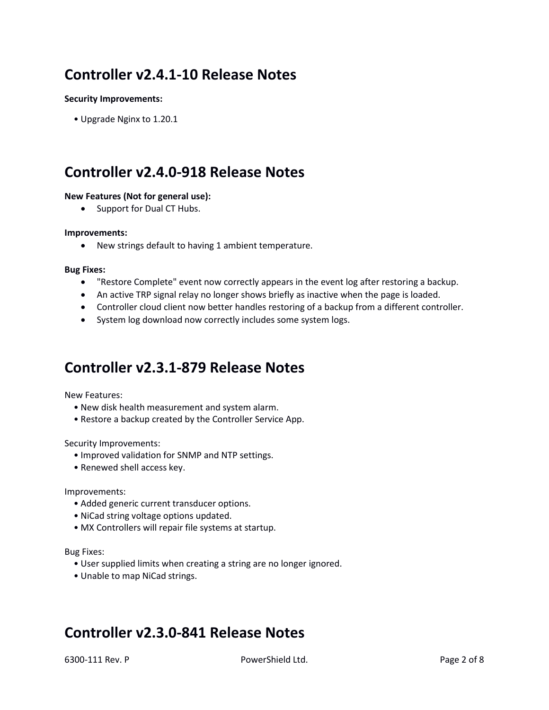# **Controller v2.4.1-10 Release Notes**

### **Security Improvements:**

• Upgrade Nginx to 1.20.1

# **Controller v2.4.0-918 Release Notes**

### **New Features (Not for general use):**

• Support for Dual CT Hubs.

### **Improvements:**

New strings default to having 1 ambient temperature.

#### **Bug Fixes:**

- "Restore Complete" event now correctly appears in the event log after restoring a backup.
- An active TRP signal relay no longer shows briefly as inactive when the page is loaded.
- Controller cloud client now better handles restoring of a backup from a different controller.
- System log download now correctly includes some system logs.

# **Controller v2.3.1-879 Release Notes**

New Features:

- New disk health measurement and system alarm.
- Restore a backup created by the Controller Service App.

Security Improvements:

- Improved validation for SNMP and NTP settings.
- Renewed shell access key.

Improvements:

- Added generic current transducer options.
- NiCad string voltage options updated.
- MX Controllers will repair file systems at startup.

Bug Fixes:

- User supplied limits when creating a string are no longer ignored.
- Unable to map NiCad strings.

# **Controller v2.3.0-841 Release Notes**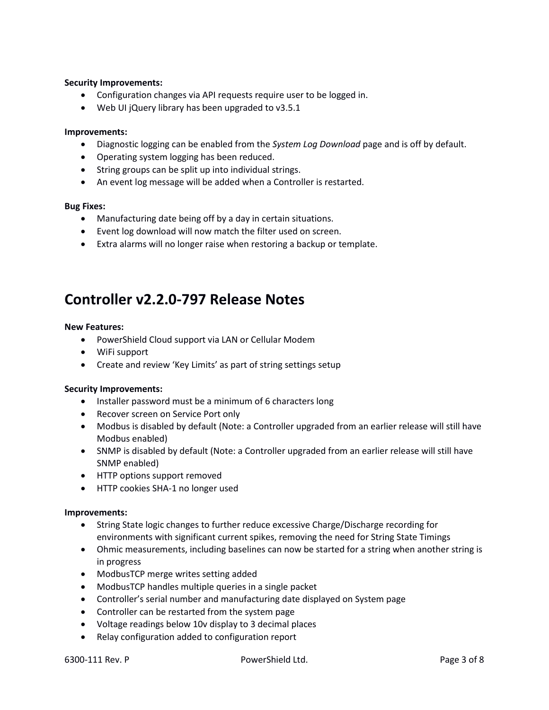### **Security Improvements:**

- Configuration changes via API requests require user to be logged in.
- Web UI jQuery library has been upgraded to v3.5.1

### **Improvements:**

- Diagnostic logging can be enabled from the *System Log Download* page and is off by default.
- Operating system logging has been reduced.
- String groups can be split up into individual strings.
- An event log message will be added when a Controller is restarted.

### **Bug Fixes:**

- Manufacturing date being off by a day in certain situations.
- Event log download will now match the filter used on screen.
- Extra alarms will no longer raise when restoring a backup or template.

# **Controller v2.2.0-797 Release Notes**

### **New Features:**

- PowerShield Cloud support via LAN or Cellular Modem
- WiFi support
- Create and review 'Key Limits' as part of string settings setup

### **Security Improvements:**

- Installer password must be a minimum of 6 characters long
- Recover screen on Service Port only
- Modbus is disabled by default (Note: a Controller upgraded from an earlier release will still have Modbus enabled)
- SNMP is disabled by default (Note: a Controller upgraded from an earlier release will still have SNMP enabled)
- HTTP options support removed
- HTTP cookies SHA-1 no longer used

### **Improvements:**

- String State logic changes to further reduce excessive Charge/Discharge recording for environments with significant current spikes, removing the need for String State Timings
- Ohmic measurements, including baselines can now be started for a string when another string is in progress
- ModbusTCP merge writes setting added
- ModbusTCP handles multiple queries in a single packet
- Controller's serial number and manufacturing date displayed on System page
- Controller can be restarted from the system page
- Voltage readings below 10v display to 3 decimal places
- Relay configuration added to configuration report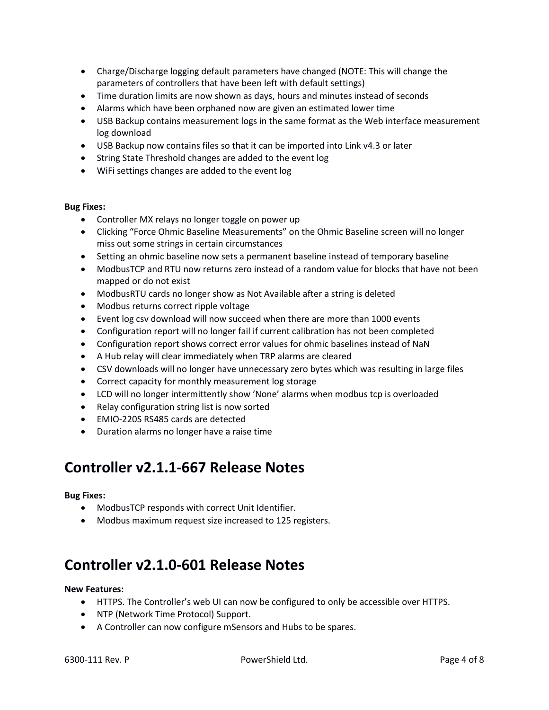- Charge/Discharge logging default parameters have changed (NOTE: This will change the parameters of controllers that have been left with default settings)
- Time duration limits are now shown as days, hours and minutes instead of seconds
- Alarms which have been orphaned now are given an estimated lower time
- USB Backup contains measurement logs in the same format as the Web interface measurement log download
- USB Backup now contains files so that it can be imported into Link v4.3 or later
- String State Threshold changes are added to the event log
- WiFi settings changes are added to the event log

### **Bug Fixes:**

- Controller MX relays no longer toggle on power up
- Clicking "Force Ohmic Baseline Measurements" on the Ohmic Baseline screen will no longer miss out some strings in certain circumstances
- Setting an ohmic baseline now sets a permanent baseline instead of temporary baseline
- ModbusTCP and RTU now returns zero instead of a random value for blocks that have not been mapped or do not exist
- ModbusRTU cards no longer show as Not Available after a string is deleted
- Modbus returns correct ripple voltage
- Event log csv download will now succeed when there are more than 1000 events
- Configuration report will no longer fail if current calibration has not been completed
- Configuration report shows correct error values for ohmic baselines instead of NaN
- A Hub relay will clear immediately when TRP alarms are cleared
- CSV downloads will no longer have unnecessary zero bytes which was resulting in large files
- Correct capacity for monthly measurement log storage
- LCD will no longer intermittently show 'None' alarms when modbus tcp is overloaded
- Relay configuration string list is now sorted
- EMIO-220S RS485 cards are detected
- Duration alarms no longer have a raise time

# **Controller v2.1.1-667 Release Notes**

### **Bug Fixes:**

- ModbusTCP responds with correct Unit Identifier.
- Modbus maximum request size increased to 125 registers.

# **Controller v2.1.0-601 Release Notes**

### **New Features:**

- HTTPS. The Controller's web UI can now be configured to only be accessible over HTTPS.
- NTP (Network Time Protocol) Support.
- A Controller can now configure mSensors and Hubs to be spares.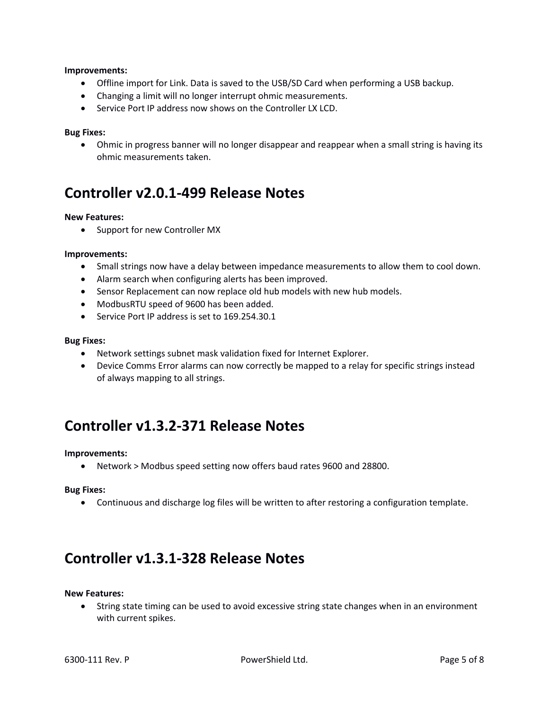### **Improvements:**

- Offline import for Link. Data is saved to the USB/SD Card when performing a USB backup.
- Changing a limit will no longer interrupt ohmic measurements.
- Service Port IP address now shows on the Controller LX LCD.

### **Bug Fixes:**

 Ohmic in progress banner will no longer disappear and reappear when a small string is having its ohmic measurements taken.

# **Controller v2.0.1-499 Release Notes**

### **New Features:**

• Support for new Controller MX

### **Improvements:**

- Small strings now have a delay between impedance measurements to allow them to cool down.
- Alarm search when configuring alerts has been improved.
- Sensor Replacement can now replace old hub models with new hub models.
- ModbusRTU speed of 9600 has been added.
- Service Port IP address is set to 169.254.30.1

#### **Bug Fixes:**

- Network settings subnet mask validation fixed for Internet Explorer.
- Device Comms Error alarms can now correctly be mapped to a relay for specific strings instead of always mapping to all strings.

# **Controller v1.3.2-371 Release Notes**

### **Improvements:**

Network > Modbus speed setting now offers baud rates 9600 and 28800.

### **Bug Fixes:**

Continuous and discharge log files will be written to after restoring a configuration template.

# **Controller v1.3.1-328 Release Notes**

#### **New Features:**

 String state timing can be used to avoid excessive string state changes when in an environment with current spikes.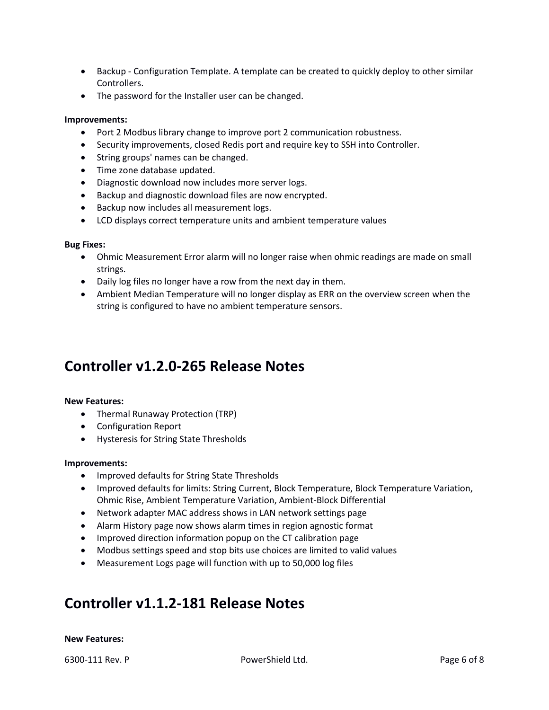- Backup Configuration Template. A template can be created to quickly deploy to other similar Controllers.
- The password for the Installer user can be changed.

### **Improvements:**

- Port 2 Modbus library change to improve port 2 communication robustness.
- Security improvements, closed Redis port and require key to SSH into Controller.
- String groups' names can be changed.
- Time zone database updated.
- Diagnostic download now includes more server logs.
- Backup and diagnostic download files are now encrypted.
- Backup now includes all measurement logs.
- LCD displays correct temperature units and ambient temperature values

### **Bug Fixes:**

- Ohmic Measurement Error alarm will no longer raise when ohmic readings are made on small strings.
- Daily log files no longer have a row from the next day in them.
- Ambient Median Temperature will no longer display as ERR on the overview screen when the string is configured to have no ambient temperature sensors.

# **Controller v1.2.0-265 Release Notes**

### **New Features:**

- Thermal Runaway Protection (TRP)
- Configuration Report
- Hysteresis for String State Thresholds

### **Improvements:**

- Improved defaults for String State Thresholds
- Improved defaults for limits: String Current, Block Temperature, Block Temperature Variation, Ohmic Rise, Ambient Temperature Variation, Ambient-Block Differential
- Network adapter MAC address shows in LAN network settings page
- Alarm History page now shows alarm times in region agnostic format
- Improved direction information popup on the CT calibration page
- Modbus settings speed and stop bits use choices are limited to valid values
- Measurement Logs page will function with up to 50,000 log files

# **Controller v1.1.2-181 Release Notes**

### **New Features:**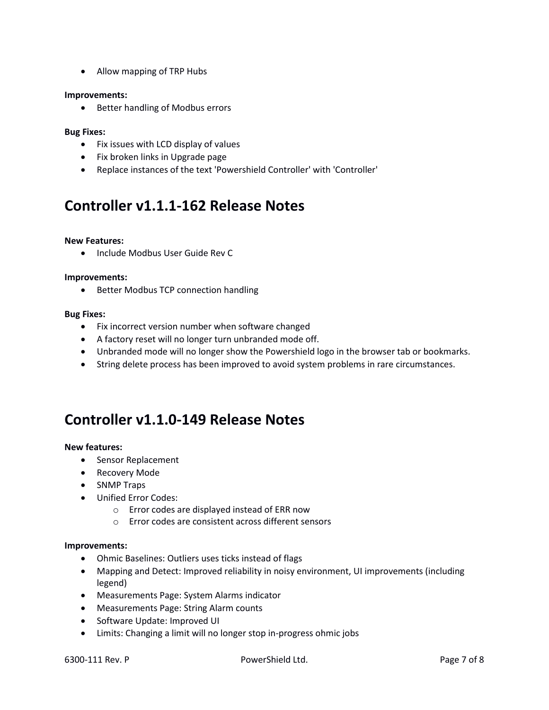Allow mapping of TRP Hubs

### **Improvements:**

• Better handling of Modbus errors

### **Bug Fixes:**

- Fix issues with LCD display of values
- Fix broken links in Upgrade page
- Replace instances of the text 'Powershield Controller' with 'Controller'

# **Controller v1.1.1-162 Release Notes**

### **New Features:**

• Include Modbus User Guide Rev C

### **Improvements:**

• Better Modbus TCP connection handling

#### **Bug Fixes:**

- Fix incorrect version number when software changed
- A factory reset will no longer turn unbranded mode off.
- Unbranded mode will no longer show the Powershield logo in the browser tab or bookmarks.
- String delete process has been improved to avoid system problems in rare circumstances.

# **Controller v1.1.0-149 Release Notes**

### **New features:**

- Sensor Replacement
- Recovery Mode
- SNMP Traps
- Unified Error Codes:
	- o Error codes are displayed instead of ERR now
	- o Error codes are consistent across different sensors

### **Improvements:**

- Ohmic Baselines: Outliers uses ticks instead of flags
- Mapping and Detect: Improved reliability in noisy environment, UI improvements (including legend)
- Measurements Page: System Alarms indicator
- Measurements Page: String Alarm counts
- Software Update: Improved UI
- Limits: Changing a limit will no longer stop in-progress ohmic jobs